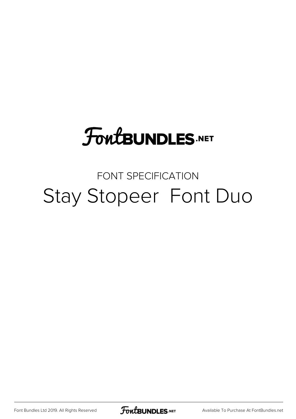## **FoutBUNDLES.NET**

### FONT SPECIFICATION Stay Stopeer Font Duo

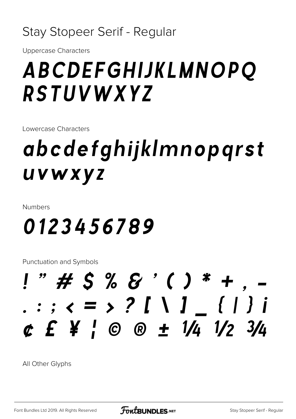### Stay Stopeer Serif - Regular

**Uppercase Characters** 

### ABCDEFGHIJKLMNOPQ **RSTUVWXYZ**

Lowercase Characters

## abcdefghijklmnopgrst uvwxyz

**Numbers** 

### 0123456789

**Punctuation and Symbols** 

### $!$  " # \$ % & ' ( ) \* + : ;  $\langle$  = > ? [ \ ] \_ { | } i  $c E Y C \otimes t 1/4 1/2 3/4$

All Other Glyphs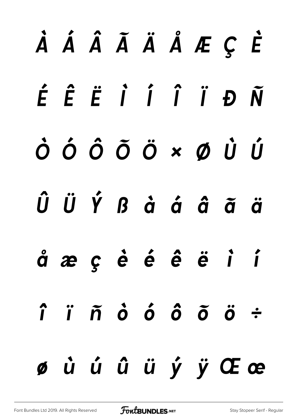# À Á Â Ã Ä Å Æ Ç È É Ê Ë Ì Í Î Ï Ð Ñ Ò Ó Ô Õ Ö × Ø Ù Ú Û Ü Ý ß à á â ã ä å æ ç è é ê ë ì í î ï ñ ò ó ô õ ö ÷ ø ù ú û ü ý ÿ Œ œ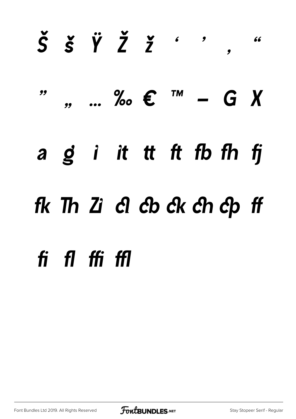## $\check{S}$   $\check{S}$   $\check{V}$   $\check{Z}$   $\check{Z}$   $\check{Z}$   $\check{Z}$ 66  $\overline{\mathbf{y}}$  $\frac{1}{2}$  ... ‰  $\epsilon$  ™ – G X 99  $a \circ g$  in it that the finite state of the finite state  $f$ fk Th Zi cl cb ck ch cp ff fi fl ffi ffl

Font Bundles Ltd 2019. All Rights Reserved

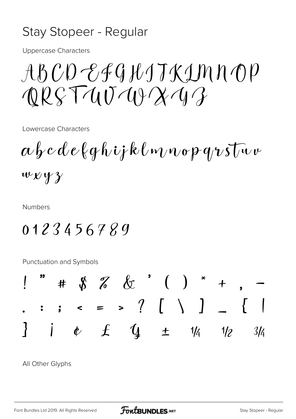#### Stay Stopeer - Regular

**Uppercase Characters** 

 $A\beta CD-EGHJKIMDOP$  $QRST4U4YX43$ 

Lowercase Characters

 $\alpha \beta c d e \ell q \hbar i \dot{r} k \ell m \nu \sigma p \, q \nu s \bar{\nu} \nu \nu$  $wxyy$ 

**Numbers** 

### 0123456789

**Punctuation and Symbols** 



All Other Glyphs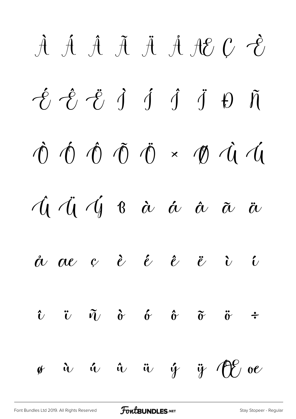À Á Â Ã Ä Å Æ Ç È É Ê Ë Ì Í Î Ï Ð Ñ Ò Ó Ô Õ Ö × Ø Ù Ú Û Ü Ý ß à á â ã ä  $\stackrel{\circ}{\alpha}$   $\stackrel{\circ}{\alpha}$   $\stackrel{\circ}{c}$   $\stackrel{\circ}{e}$   $\stackrel{\circ}{c}$   $\stackrel{\circ}{c}$   $\stackrel{\circ}{c}$  $\hat{v}$   $\tilde{v}$   $\tilde{q}$   $\hat{\sigma}$   $\hat{\sigma}$   $\tilde{\sigma}$   $\tilde{\sigma}$  ÷  $\mathscr{G}$  à ú ü ý ÿ  $\bigoplus$  oe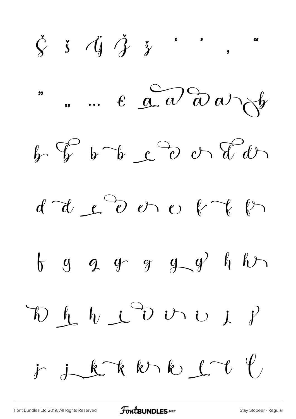$\check{\zeta}$   $\check{\zeta}$   $\check{\zeta}$   $\check{\zeta}$   $\check{\zeta}$   $\vdots$ 66  $\ldots$   $\epsilon$   $\alpha$   $\partial$   $\omega$   $\rightarrow$ 99  $h \oint b$   $b - b$   $c$   $c$   $d$  $d d \&c$   $\partial v \circ f f$  $\begin{array}{ccccccccc} \uparrow & g & g & g & g & g & g & h & h\end{array}$  $\oint_{\mathcal{L}} \int_{\mathcal{U}} d\mathcal{L} \stackrel{\curvearrowleft}{\longrightarrow} \mathcal{U} \stackrel{\curvearrowright}{\longrightarrow} \mathcal{U} \stackrel{\curvearrowleft}{\longrightarrow} \mathcal{V}$  $\mathcal{L}$  $j_{k}$ khk $k_{k}$  $\dot{r}$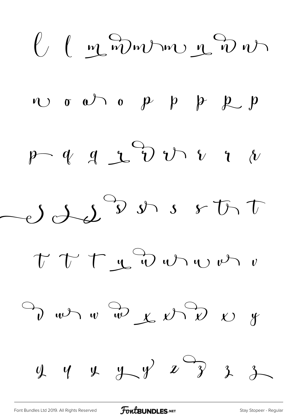$$
U (1200000200)
$$
  
\n
$$
U 0000000101010
$$
  
\n
$$
P 4 4200000000
$$
  
\n
$$
U 1200000000
$$
  
\n
$$
U 1200000000
$$
  
\n
$$
V 1200000000
$$
  
\n
$$
V 1200000000
$$
  
\n
$$
V 1200000000
$$
  
\n
$$
V 1200000000
$$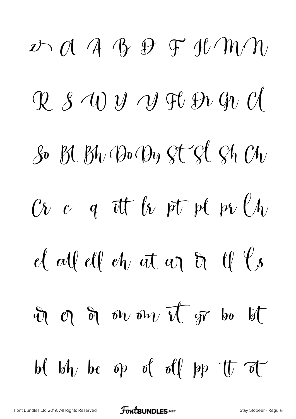$D \cap \mathcal{A}$  a B  $D \cap \mathcal{B}$  and  $M \cap \mathcal{C}$  $\mathcal{R}$  s  $\mathcal{W}$  y  $\mathcal{W}$  F  $\mathcal{W}$   $\mathcal{W}$   $\mathcal{C}$  $\mathcal{S}$  Bl Bh Bo By St Sl Sh Ch  $\mathcal{C}$ *t*  $\mathcal{C}$  a it  $\mathcal{C}$  by  $\mathcal{C}$  if  $\mathcal{C}$  if  $\mathcal{C}$  by  $\mathcal{C}/\mathcal{C}$ el all ell eh at an  $\partial$  ll  $\ell$ s  $\mathcal{F}$  or  $\partial v$  on  $\overline{v}$  or bo b be by  $\phi$  be  $\phi$  of  $\phi$  by  $\psi$  and  $\phi$